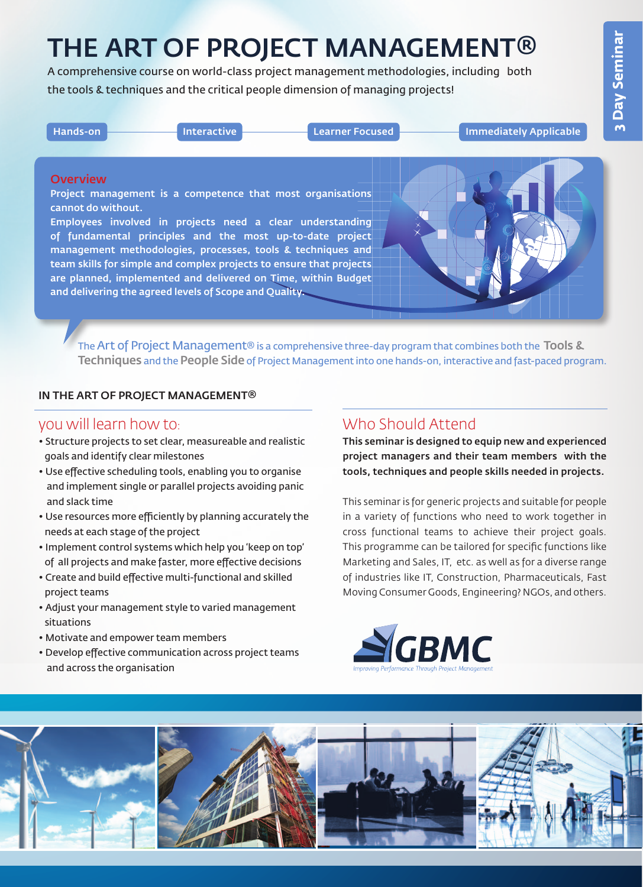# THE ART OF PROJECT MANAGEMENT®

A comprehensive course on world-class project management methodologies, including both the tools & techniques and the critical people dimension of managing projects!

| $Hands-on$ | : Interactive : | <b>Elearner Focused A</b> | Immediately Applicable |
|------------|-----------------|---------------------------|------------------------|
|            |                 |                           |                        |

#### **Overview**

Project management is a competence that most organisations cannot do without.

Employees involved in projects need a clear understanding of fundamental principles and the most up-to-date project management methodologies, processes, tools & techniques and team skills for simple and complex projects to ensure that projects are planned, implemented and delivered on Time, within Budget and delivering the agreed levels of Scope and Quality.

The Art of Project Management<sup>®</sup> is a comprehensive three-day program that combines both the Tools & Techniques and the People Side of Project Management into one hands-on, interactive and fast-paced program.

#### IN THE ART OF PROJECT MANAGEMENT®

## you will learn how to:

- Structure projects to set clear, measureable and realistic goals and identify clear milestones
- Use effective scheduling tools, enabling you to organise and implement single or parallel projects avoiding panic and slack time
- Use resources more efficiently by planning accurately the needs at each stage of the project
- Implement control systems which help you 'keep on top' of all projects and make faster, more effective decisions
- Create and build effective multi-functional and skilled project teams
- Adjust your management style to varied management situations
- Motivate and empower team members
- Develop effective communication across project teams and across the organisation

# Who Should Attend

This seminar is designed to equip new and experienced project managers and their team members with the tools, techniques and people skills needed in projects.

This seminar is for generic projects and suitable for people in a variety of functions who need to work together in cross functional teams to achieve their project goals. This programme can be tailored for specific functions like Marketing and Sales, IT, etc. as well as for a diverse range of industries like IT, Construction, Pharmaceuticals, Fast Moving Consumer Goods, Engineering? NGOs, and others.